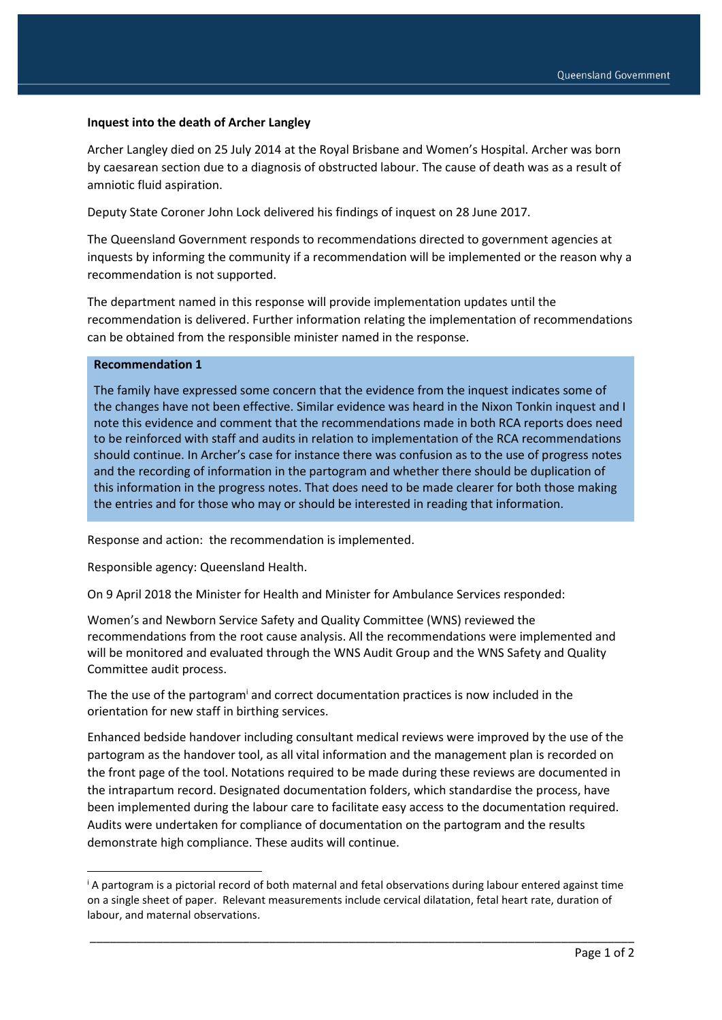## **Inquest into the death of Archer Langley**

Archer Langley died on 25 July 2014 at the Royal Brisbane and Women's Hospital. Archer was born by caesarean section due to a diagnosis of obstructed labour. The cause of death was as a result of amniotic fluid aspiration.

Deputy State Coroner John Lock delivered his findings of inquest on 28 June 2017.

The Queensland Government responds to recommendations directed to government agencies at inquests by informing the community if a recommendation will be implemented or the reason why a recommendation is not supported.

The department named in this response will provide implementation updates until the recommendation is delivered. Further information relating the implementation of recommendations can be obtained from the responsible minister named in the response.

## **Recommendation 1**

1

The family have expressed some concern that the evidence from the inquest indicates some of the changes have not been effective. Similar evidence was heard in the Nixon Tonkin inquest and I note this evidence and comment that the recommendations made in both RCA reports does need to be reinforced with staff and audits in relation to implementation of the RCA recommendations should continue. In Archer's case for instance there was confusion as to the use of progress notes and the recording of information in the partogram and whether there should be duplication of this information in the progress notes. That does need to be made clearer for both those making the entries and for those who may or should be interested in reading that information.

Response and action: the recommendation is implemented.

Responsible agency: Queensland Health.

On 9 April 2018 the Minister for Health and Minister for Ambulance Services responded:

Women's and Newborn Service Safety and Quality Committee (WNS) reviewed the recommendations from the root cause analysis. All the recommendations were implemented and will be monitored and evaluated through the WNS Audit Group and the WNS Safety and Quality Committee audit process.

The the use of the partogram<sup>i</sup> and correct documentation practices is now included in the orientation for new staff in birthing services.

Enhanced bedside handover including consultant medical reviews were improved by the use of the partogram as the handover tool, as all vital information and the management plan is recorded on the front page of the tool. Notations required to be made during these reviews are documented in the intrapartum record. Designated documentation folders, which standardise the process, have been implemented during the labour care to facilitate easy access to the documentation required. Audits were undertaken for compliance of documentation on the partogram and the results demonstrate high compliance. These audits will continue.

\_\_\_\_\_\_\_\_\_\_\_\_\_\_\_\_\_\_\_\_\_\_\_\_\_\_\_\_\_\_\_\_\_\_\_\_\_\_\_\_\_\_\_\_\_\_\_\_\_\_\_\_\_\_\_\_\_\_\_\_\_\_\_\_\_\_\_\_\_\_\_\_\_\_\_\_\_\_\_\_\_\_

<sup>i</sup> A partogram is a pictorial record of both maternal and fetal observations during labour entered against time on a single sheet of paper. Relevant measurements include cervical dilatation, fetal heart rate, duration of labour, and maternal observations.